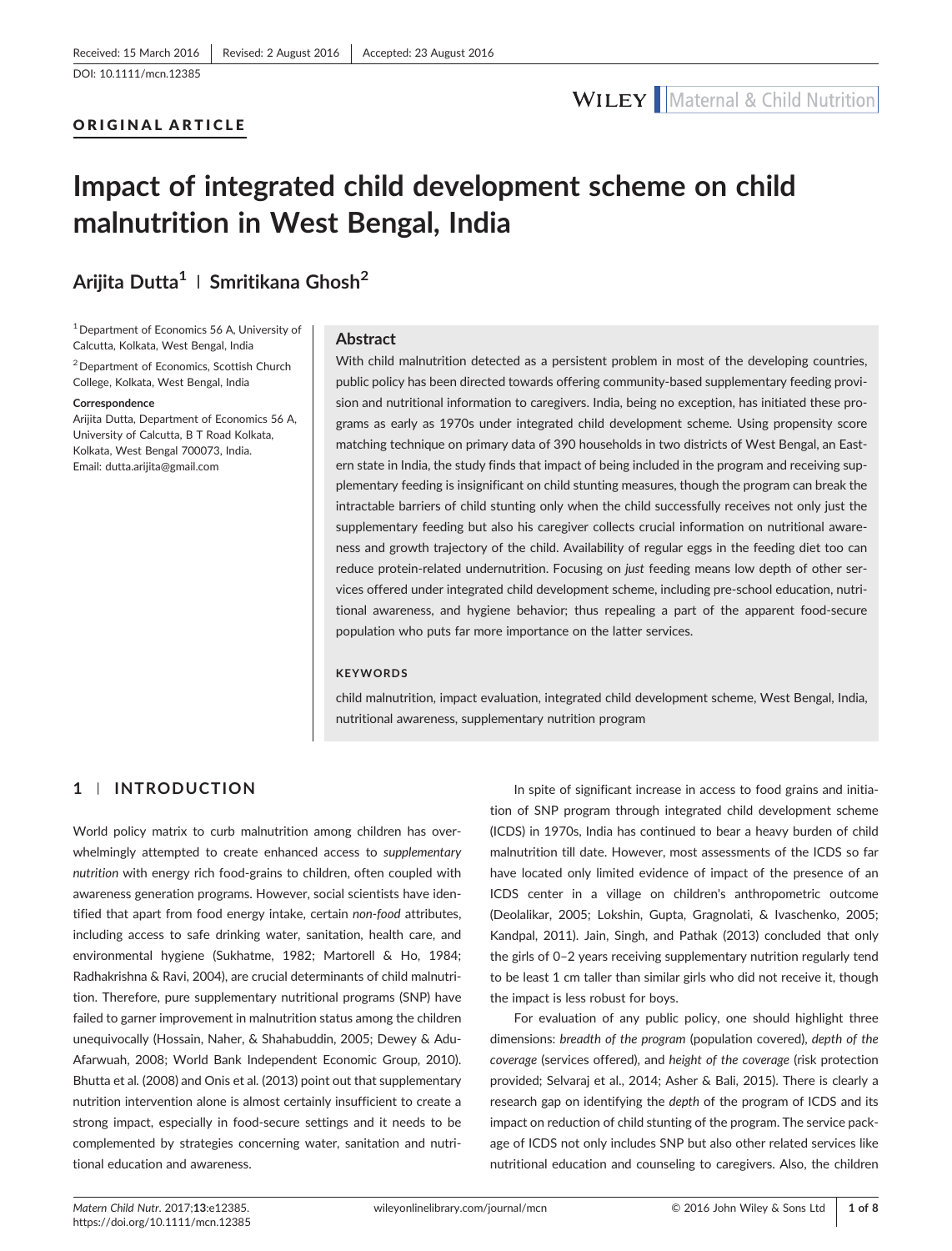#### ORIGINAL ARTICLE

# Impact of integrated child development scheme on child malnutrition in West Bengal, India

## Arijita Dutta<sup>1</sup> | Smritikana Ghosh<sup>2</sup>

<sup>1</sup> Department of Economics 56 A, University of Calcutta, Kolkata, West Bengal, India 2Department of Economics, Scottish Church College, Kolkata, West Bengal, India

#### Correspondence

Arijita Dutta, Department of Economics 56 A, University of Calcutta, B T Road Kolkata, Kolkata, West Bengal 700073, India. Email: [dutta.arijita@gmail.com](mailto:dutta.arijita@gmail.com)

#### Abstract

With child malnutrition detected as a persistent problem in most of the developing countries, public policy has been directed towards offering community‐based supplementary feeding provision and nutritional information to caregivers. India, being no exception, has initiated these programs as early as 1970s under integrated child development scheme. Using propensity score matching technique on primary data of 390 households in two districts of West Bengal, an Eastern state in India, the study finds that impact of being included in the program and receiving supplementary feeding is insignificant on child stunting measures, though the program can break the intractable barriers of child stunting only when the child successfully receives not only just the supplementary feeding but also his caregiver collects crucial information on nutritional awareness and growth trajectory of the child. Availability of regular eggs in the feeding diet too can reduce protein‐related undernutrition. Focusing on just feeding means low depth of other services offered under integrated child development scheme, including pre‐school education, nutritional awareness, and hygiene behavior; thus repealing a part of the apparent food‐secure population who puts far more importance on the latter services.

### **KEYWORDS**

child malnutrition, impact evaluation, integrated child development scheme, West Bengal, India, nutritional awareness, supplementary nutrition program

## 1 | INTRODUCTION

World policy matrix to curb malnutrition among children has overwhelmingly attempted to create enhanced access to supplementary nutrition with energy rich food‐grains to children, often coupled with awareness generation programs. However, social scientists have identified that apart from food energy intake, certain non‐food attributes, including access to safe drinking water, sanitation, health care, and environmental hygiene (Sukhatme, 1982; Martorell & Ho, 1984; Radhakrishna & Ravi, 2004), are crucial determinants of child malnutrition. Therefore, pure supplementary nutritional programs (SNP) have failed to garner improvement in malnutrition status among the children unequivocally (Hossain, Naher, & Shahabuddin, 2005; Dewey & Adu‐ Afarwuah, 2008; World Bank Independent Economic Group, 2010). Bhutta et al. (2008) and Onis et al. (2013) point out that supplementary nutrition intervention alone is almost certainly insufficient to create a strong impact, especially in food‐secure settings and it needs to be complemented by strategies concerning water, sanitation and nutritional education and awareness.

In spite of significant increase in access to food grains and initiation of SNP program through integrated child development scheme (ICDS) in 1970s, India has continued to bear a heavy burden of child malnutrition till date. However, most assessments of the ICDS so far have located only limited evidence of impact of the presence of an ICDS center in a village on children's anthropometric outcome (Deolalikar, 2005; Lokshin, Gupta, Gragnolati, & Ivaschenko, 2005; Kandpal, 2011). Jain, Singh, and Pathak (2013) concluded that only the girls of 0–2 years receiving supplementary nutrition regularly tend to be least 1 cm taller than similar girls who did not receive it, though the impact is less robust for boys.

For evaluation of any public policy, one should highlight three dimensions: breadth of the program (population covered), depth of the coverage (services offered), and height of the coverage (risk protection provided; Selvaraj et al., 2014; Asher & Bali, 2015). There is clearly a research gap on identifying the depth of the program of ICDS and its impact on reduction of child stunting of the program. The service package of ICDS not only includes SNP but also other related services like nutritional education and counseling to caregivers. Also, the children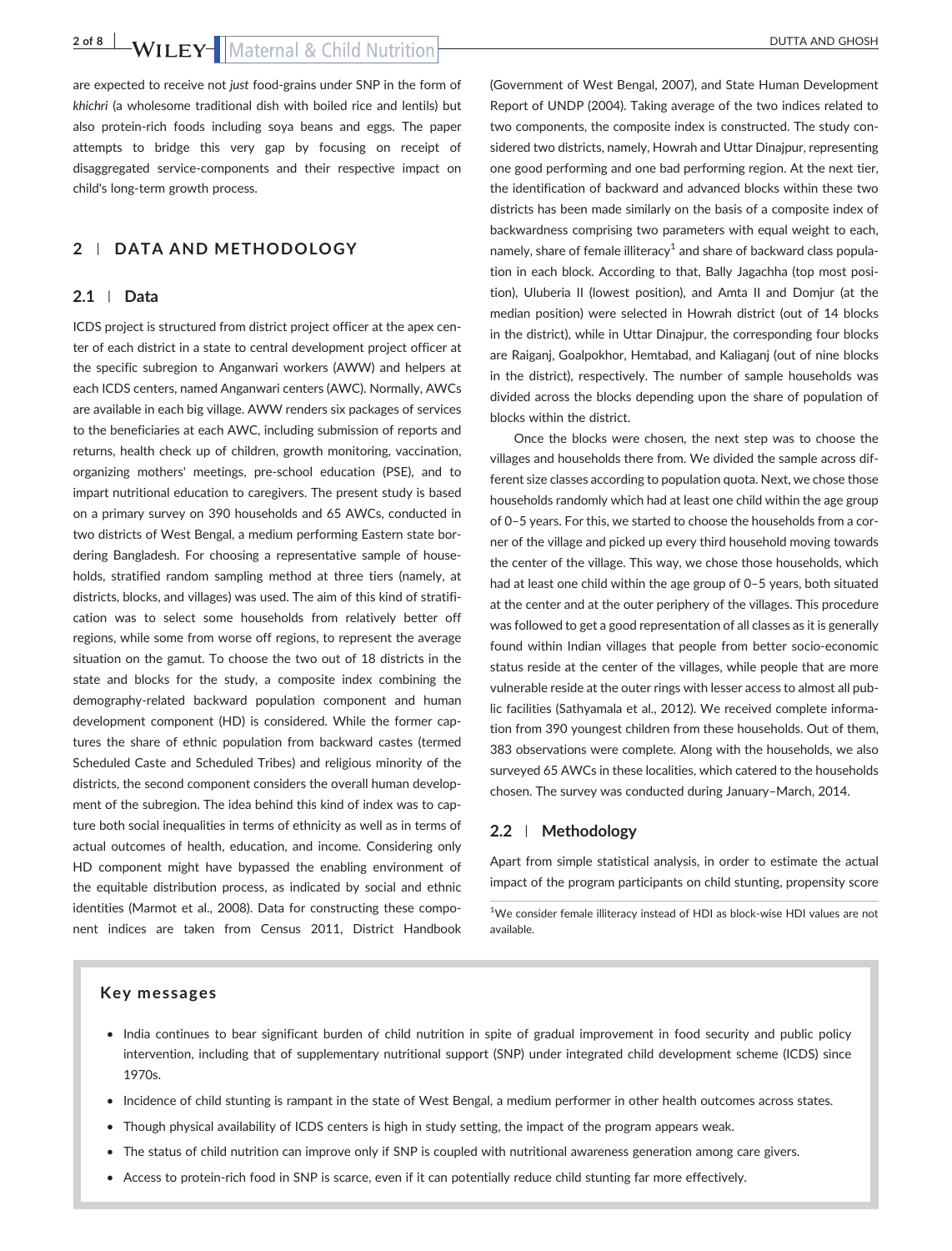2 of 8 | WILEY- | Maternal & Child Nutrition

are expected to receive not just food-grains under SNP in the form of khichri (a wholesome traditional dish with boiled rice and lentils) but also protein‐rich foods including soya beans and eggs. The paper attempts to bridge this very gap by focusing on receipt of disaggregated service‐components and their respective impact on child's long‐term growth process.

## 2 | DATA AND METHODOLOGY

### 2.1 | Data

ICDS project is structured from district project officer at the apex center of each district in a state to central development project officer at the specific subregion to Anganwari workers (AWW) and helpers at each ICDS centers, named Anganwari centers (AWC). Normally, AWCs are available in each big village. AWW renders six packages of services to the beneficiaries at each AWC, including submission of reports and returns, health check up of children, growth monitoring, vaccination, organizing mothers' meetings, pre‐school education (PSE), and to impart nutritional education to caregivers. The present study is based on a primary survey on 390 households and 65 AWCs, conducted in two districts of West Bengal, a medium performing Eastern state bordering Bangladesh. For choosing a representative sample of households, stratified random sampling method at three tiers (namely, at districts, blocks, and villages) was used. The aim of this kind of stratification was to select some households from relatively better off regions, while some from worse off regions, to represent the average situation on the gamut. To choose the two out of 18 districts in the state and blocks for the study, a composite index combining the demography‐related backward population component and human development component (HD) is considered. While the former captures the share of ethnic population from backward castes (termed Scheduled Caste and Scheduled Tribes) and religious minority of the districts, the second component considers the overall human development of the subregion. The idea behind this kind of index was to capture both social inequalities in terms of ethnicity as well as in terms of actual outcomes of health, education, and income. Considering only HD component might have bypassed the enabling environment of the equitable distribution process, as indicated by social and ethnic identities (Marmot et al., 2008). Data for constructing these component indices are taken from Census 2011, District Handbook

(Government of West Bengal, 2007), and State Human Development Report of UNDP (2004). Taking average of the two indices related to two components, the composite index is constructed. The study considered two districts, namely, Howrah and Uttar Dinajpur, representing one good performing and one bad performing region. At the next tier, the identification of backward and advanced blocks within these two districts has been made similarly on the basis of a composite index of backwardness comprising two parameters with equal weight to each, namely, share of female illiteracy<sup>1</sup> and share of backward class population in each block. According to that, Bally Jagachha (top most position), Uluberia II (lowest position), and Amta II and Domjur (at the median position) were selected in Howrah district (out of 14 blocks in the district), while in Uttar Dinajpur, the corresponding four blocks are Raiganj, Goalpokhor, Hemtabad, and Kaliaganj (out of nine blocks in the district), respectively. The number of sample households was divided across the blocks depending upon the share of population of blocks within the district.

Once the blocks were chosen, the next step was to choose the villages and households there from. We divided the sample across different size classes according to population quota. Next, we chose those households randomly which had at least one child within the age group of 0–5 years. For this, we started to choose the households from a corner of the village and picked up every third household moving towards the center of the village. This way, we chose those households, which had at least one child within the age group of 0–5 years, both situated at the center and at the outer periphery of the villages. This procedure was followed to get a good representation of all classes as it is generally found within Indian villages that people from better socio‐economic status reside at the center of the villages, while people that are more vulnerable reside at the outer rings with lesser access to almost all public facilities (Sathyamala et al., 2012). We received complete information from 390 youngest children from these households. Out of them, 383 observations were complete. Along with the households, we also surveyed 65 AWCs in these localities, which catered to the households chosen. The survey was conducted during January–March, 2014.

### 2.2 | Methodology

Apart from simple statistical analysis, in order to estimate the actual impact of the program participants on child stunting, propensity score

<sup>1</sup>We consider female illiteracy instead of HDI as block-wise HDI values are not available.

#### Key messages

- India continues to bear significant burden of child nutrition in spite of gradual improvement in food security and public policy intervention, including that of supplementary nutritional support (SNP) under integrated child development scheme (ICDS) since 1970s.
- Incidence of child stunting is rampant in the state of West Bengal, a medium performer in other health outcomes across states.
- Though physical availability of ICDS centers is high in study setting, the impact of the program appears weak.
- The status of child nutrition can improve only if SNP is coupled with nutritional awareness generation among care givers.
- Access to protein‐rich food in SNP is scarce, even if it can potentially reduce child stunting far more effectively.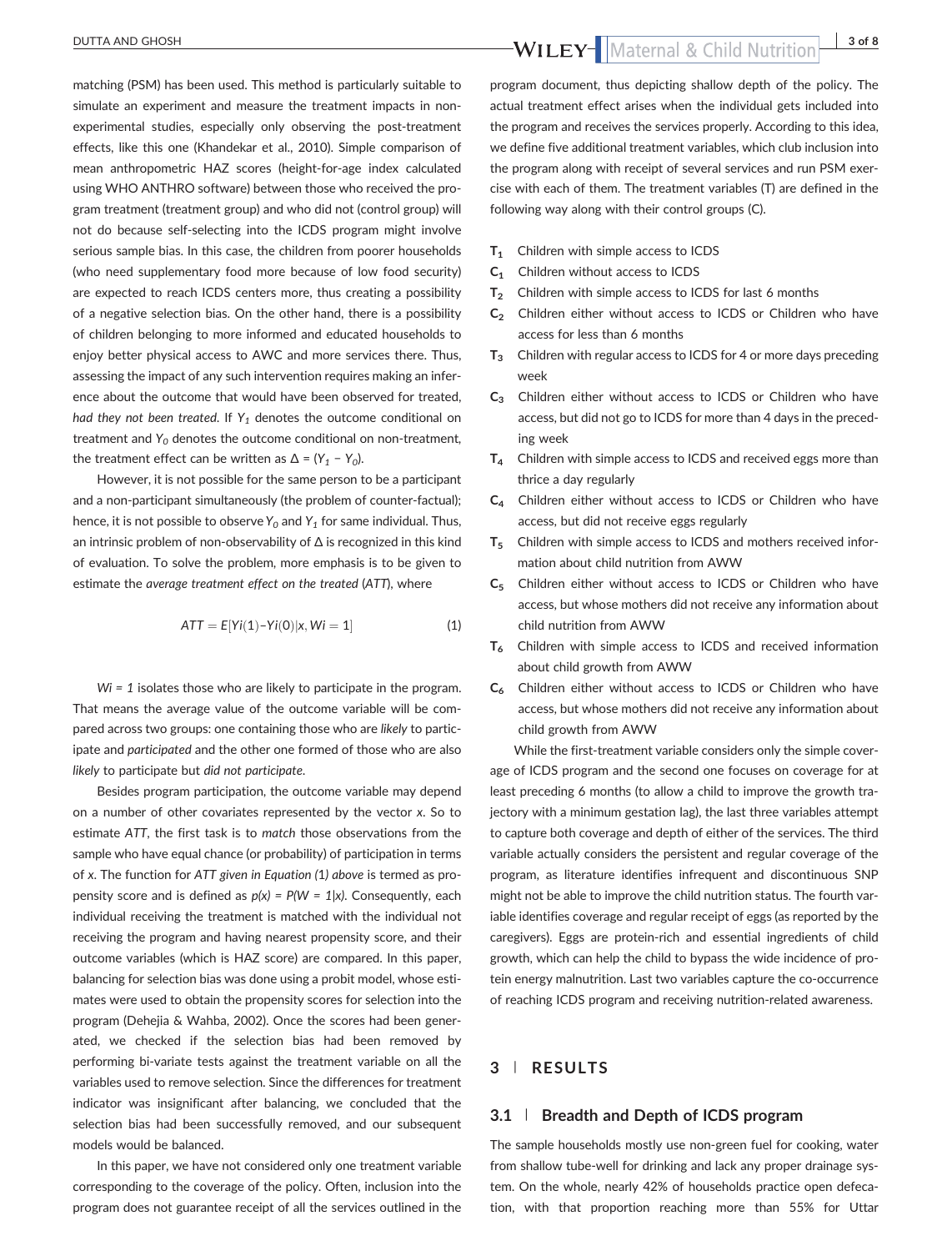matching (PSM) has been used. This method is particularly suitable to simulate an experiment and measure the treatment impacts in nonexperimental studies, especially only observing the post-treatment effects, like this one (Khandekar et al., 2010). Simple comparison of mean anthropometric HAZ scores (height‐for‐age index calculated using WHO ANTHRO software) between those who received the program treatment (treatment group) and who did not (control group) will not do because self‐selecting into the ICDS program might involve serious sample bias. In this case, the children from poorer households (who need supplementary food more because of low food security) are expected to reach ICDS centers more, thus creating a possibility of a negative selection bias. On the other hand, there is a possibility of children belonging to more informed and educated households to enjoy better physical access to AWC and more services there. Thus, assessing the impact of any such intervention requires making an inference about the outcome that would have been observed for treated, had they not been treated. If  $Y_1$  denotes the outcome conditional on treatment and  $Y_0$  denotes the outcome conditional on non-treatment, the treatment effect can be written as  $\Delta = (Y_1 - Y_0)$ .

However, it is not possible for the same person to be a participant and a non-participant simultaneously (the problem of counter-factual); hence, it is not possible to observe  $Y_0$  and  $Y_1$  for same individual. Thus, an intrinsic problem of non‐observability of Δ is recognized in this kind of evaluation. To solve the problem, more emphasis is to be given to estimate the average treatment effect on the treated (ATT), where

$$
ATT = E[Yi(1) - Yi(0)|x, Wi = 1]
$$
 (1)

 $Wi = 1$  isolates those who are likely to participate in the program. That means the average value of the outcome variable will be compared across two groups: one containing those who are likely to participate and participated and the other one formed of those who are also likely to participate but did not participate.

Besides program participation, the outcome variable may depend on a number of other covariates represented by the vector x. So to estimate ATT, the first task is to match those observations from the sample who have equal chance (or probability) of participation in terms of x. The function for ATT given in Equation (1) above is termed as propensity score and is defined as  $p(x) = P(W = 1|x)$ . Consequently, each individual receiving the treatment is matched with the individual not receiving the program and having nearest propensity score, and their outcome variables (which is HAZ score) are compared. In this paper, balancing for selection bias was done using a probit model, whose estimates were used to obtain the propensity scores for selection into the program (Dehejia & Wahba, 2002). Once the scores had been generated, we checked if the selection bias had been removed by performing bi-variate tests against the treatment variable on all the variables used to remove selection. Since the differences for treatment indicator was insignificant after balancing, we concluded that the selection bias had been successfully removed, and our subsequent models would be balanced.

In this paper, we have not considered only one treatment variable corresponding to the coverage of the policy. Often, inclusion into the program does not guarantee receipt of all the services outlined in the

program document, thus depicting shallow depth of the policy. The actual treatment effect arises when the individual gets included into the program and receives the services properly. According to this idea, we define five additional treatment variables, which club inclusion into the program along with receipt of several services and run PSM exercise with each of them. The treatment variables (T) are defined in the following way along with their control groups (C).

- T<sub>1</sub> Children with simple access to ICDS
- C<sub>1</sub> Children without access to ICDS
- $T_2$  Children with simple access to ICDS for last 6 months
- $C_2$  Children either without access to ICDS or Children who have access for less than 6 months
- $T_3$  Children with regular access to ICDS for 4 or more days preceding week
- C<sub>3</sub> Children either without access to ICDS or Children who have access, but did not go to ICDS for more than 4 days in the preceding week
- $T_4$  Children with simple access to ICDS and received eggs more than thrice a day regularly
- C4 Children either without access to ICDS or Children who have access, but did not receive eggs regularly
- $T<sub>5</sub>$  Children with simple access to ICDS and mothers received information about child nutrition from AWW
- C5 Children either without access to ICDS or Children who have access, but whose mothers did not receive any information about child nutrition from AWW
- $T<sub>6</sub>$  Children with simple access to ICDS and received information about child growth from AWW
- C<sub>6</sub> Children either without access to ICDS or Children who have access, but whose mothers did not receive any information about child growth from AWW

While the first-treatment variable considers only the simple coverage of ICDS program and the second one focuses on coverage for at least preceding 6 months (to allow a child to improve the growth trajectory with a minimum gestation lag), the last three variables attempt to capture both coverage and depth of either of the services. The third variable actually considers the persistent and regular coverage of the program, as literature identifies infrequent and discontinuous SNP might not be able to improve the child nutrition status. The fourth variable identifies coverage and regular receipt of eggs (as reported by the caregivers). Eggs are protein‐rich and essential ingredients of child growth, which can help the child to bypass the wide incidence of protein energy malnutrition. Last two variables capture the co-occurrence of reaching ICDS program and receiving nutrition‐related awareness.

## 3 | RESULTS

#### 3.1 | Breadth and Depth of ICDS program

The sample households mostly use non-green fuel for cooking, water from shallow tube-well for drinking and lack any proper drainage system. On the whole, nearly 42% of households practice open defecation, with that proportion reaching more than 55% for Uttar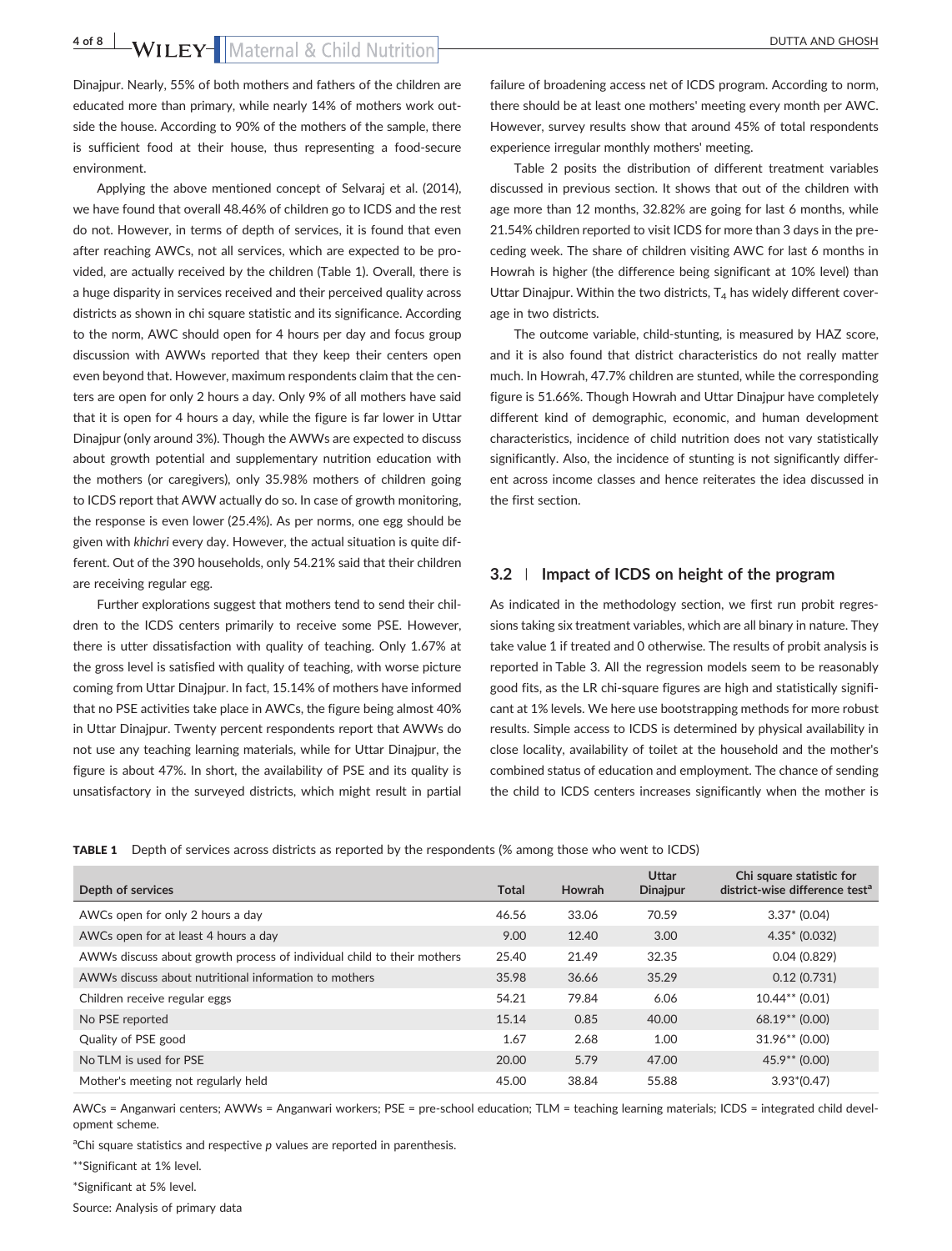4 of 8 **b** WILEY-Maternal & Child Nutrition

Dinajpur. Nearly, 55% of both mothers and fathers of the children are educated more than primary, while nearly 14% of mothers work outside the house. According to 90% of the mothers of the sample, there is sufficient food at their house, thus representing a food‐secure environment.

Applying the above mentioned concept of Selvaraj et al. (2014), we have found that overall 48.46% of children go to ICDS and the rest do not. However, in terms of depth of services, it is found that even after reaching AWCs, not all services, which are expected to be provided, are actually received by the children (Table 1). Overall, there is a huge disparity in services received and their perceived quality across districts as shown in chi square statistic and its significance. According to the norm, AWC should open for 4 hours per day and focus group discussion with AWWs reported that they keep their centers open even beyond that. However, maximum respondents claim that the centers are open for only 2 hours a day. Only 9% of all mothers have said that it is open for 4 hours a day, while the figure is far lower in Uttar Dinajpur (only around 3%). Though the AWWs are expected to discuss about growth potential and supplementary nutrition education with the mothers (or caregivers), only 35.98% mothers of children going to ICDS report that AWW actually do so. In case of growth monitoring, the response is even lower (25.4%). As per norms, one egg should be given with khichri every day. However, the actual situation is quite different. Out of the 390 households, only 54.21% said that their children are receiving regular egg.

Further explorations suggest that mothers tend to send their children to the ICDS centers primarily to receive some PSE. However, there is utter dissatisfaction with quality of teaching. Only 1.67% at the gross level is satisfied with quality of teaching, with worse picture coming from Uttar Dinajpur. In fact, 15.14% of mothers have informed that no PSE activities take place in AWCs, the figure being almost 40% in Uttar Dinajpur. Twenty percent respondents report that AWWs do not use any teaching learning materials, while for Uttar Dinajpur, the figure is about 47%. In short, the availability of PSE and its quality is unsatisfactory in the surveyed districts, which might result in partial

failure of broadening access net of ICDS program. According to norm, there should be at least one mothers' meeting every month per AWC. However, survey results show that around 45% of total respondents experience irregular monthly mothers' meeting.

Table 2 posits the distribution of different treatment variables discussed in previous section. It shows that out of the children with age more than 12 months, 32.82% are going for last 6 months, while 21.54% children reported to visit ICDS for more than 3 days in the preceding week. The share of children visiting AWC for last 6 months in Howrah is higher (the difference being significant at 10% level) than Uttar Dinajpur. Within the two districts,  $T<sub>4</sub>$  has widely different coverage in two districts.

The outcome variable, child-stunting, is measured by HAZ score, and it is also found that district characteristics do not really matter much. In Howrah, 47.7% children are stunted, while the corresponding figure is 51.66%. Though Howrah and Uttar Dinajpur have completely different kind of demographic, economic, and human development characteristics, incidence of child nutrition does not vary statistically significantly. Also, the incidence of stunting is not significantly different across income classes and hence reiterates the idea discussed in the first section.

### 3.2 | Impact of ICDS on height of the program

As indicated in the methodology section, we first run probit regressions taking six treatment variables, which are all binary in nature. They take value 1 if treated and 0 otherwise. The results of probit analysis is reported in Table 3. All the regression models seem to be reasonably good fits, as the LR chi-square figures are high and statistically significant at 1% levels. We here use bootstrapping methods for more robust results. Simple access to ICDS is determined by physical availability in close locality, availability of toilet at the household and the mother's combined status of education and employment. The chance of sending the child to ICDS centers increases significantly when the mother is

TABLE 1 Depth of services across districts as reported by the respondents (% among those who went to ICDS)

| Depth of services                                                      | <b>Total</b> | Howrah | <b>Uttar</b><br><b>Dinajpur</b> | Chi square statistic for<br>district-wise difference test <sup>a</sup> |
|------------------------------------------------------------------------|--------------|--------|---------------------------------|------------------------------------------------------------------------|
| AWCs open for only 2 hours a day                                       | 46.56        | 33.06  | 70.59                           | $3.37* (0.04)$                                                         |
| AWCs open for at least 4 hours a day                                   | 9.00         | 12.40  | 3.00                            | $4.35* (0.032)$                                                        |
| AWWs discuss about growth process of individual child to their mothers | 25.40        | 21.49  | 32.35                           | 0.04(0.829)                                                            |
| AWWs discuss about nutritional information to mothers                  | 35.98        | 36.66  | 35.29                           | 0.12(0.731)                                                            |
| Children receive regular eggs                                          | 54.21        | 79.84  | 6.06                            | $10.44**$ (0.01)                                                       |
| No PSE reported                                                        | 15.14        | 0.85   | 40.00                           | $68.19**$ (0.00)                                                       |
| Quality of PSE good                                                    | 1.67         | 2.68   | 1.00                            | $31.96**$ (0.00)                                                       |
| No TLM is used for PSE                                                 | 20.00        | 5.79   | 47.00                           | $45.9**$ (0.00)                                                        |
| Mother's meeting not regularly held                                    | 45.00        | 38.84  | 55.88                           | $3.93*(0.47)$                                                          |

AWCs = Anganwari centers; AWWs = Anganwari workers; PSE = pre‐school education; TLM = teaching learning materials; ICDS = integrated child development scheme.

<sup>a</sup>Chi square statistics and respective p values are reported in parenthesis.

\*\*Significant at 1% level.

\*Significant at 5% level.

Source: Analysis of primary data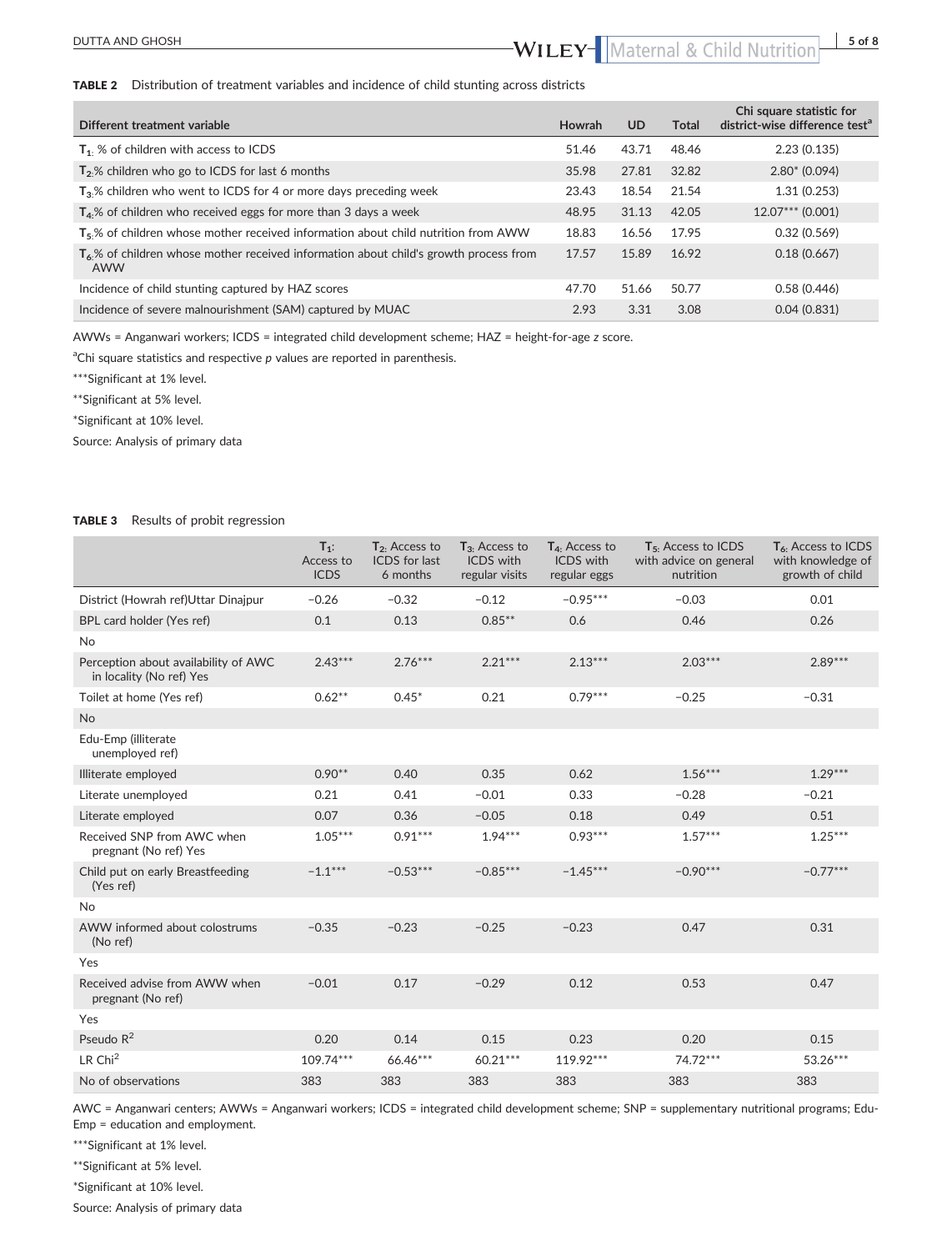## DUTTA AND GHOSH **butta** AND GHOSH

#### TABLE 2 Distribution of treatment variables and incidence of child stunting across districts

| Different treatment variable                                                                   | <b>Howrah</b> | UD.   | Total | Chi square statistic for<br>district-wise difference test <sup>a</sup> |
|------------------------------------------------------------------------------------------------|---------------|-------|-------|------------------------------------------------------------------------|
| $T_1$ . % of children with access to ICDS                                                      | 51.46         | 43.71 | 48.46 | 2.23(0.135)                                                            |
| $T2$ % children who go to ICDS for last 6 months                                               | 35.98         | 27.81 | 32.82 | $2.80* (0.094)$                                                        |
| $T_3$ % children who went to ICDS for 4 or more days preceding week                            | 23.43         | 18.54 | 21.54 | 1.31(0.253)                                                            |
| $T_4$ % of children who received eggs for more than 3 days a week                              | 48.95         | 31.13 | 42.05 | $12.07***$ (0.001)                                                     |
| $T5$ % of children whose mother received information about child nutrition from AWW            | 18.83         | 16.56 | 17.95 | 0.32(0.569)                                                            |
| $T_6$ % of children whose mother received information about child's growth process from<br>AWW | 17.57         | 15.89 | 16.92 | 0.18(0.667)                                                            |
| Incidence of child stunting captured by HAZ scores                                             | 47.70         | 51.66 | 50.77 | 0.58(0.446)                                                            |
| Incidence of severe malnourishment (SAM) captured by MUAC                                      | 2.93          | 3.31  | 3.08  | 0.04(0.831)                                                            |

AWWs = Anganwari workers; ICDS = integrated child development scheme; HAZ = height‐for‐age z score.

<sup>a</sup>Chi square statistics and respective p values are reported in parenthesis.

\*\*\*Significant at 1% level.

\*\*Significant at 5% level.

\*Significant at 10% level.

Source: Analysis of primary data

#### TABLE 3 Results of probit regression

|                                                                  | $T_1$ :<br>Access to<br><b>ICDS</b> | $T_2$ . Access to<br><b>ICDS</b> for last<br>6 months | $T_3$ . Access to<br><b>ICDS</b> with<br>regular visits | T <sub>4</sub> . Access to<br><b>ICDS</b> with<br>regular eggs | T <sub>5</sub> . Access to ICDS<br>with advice on general<br>nutrition | T <sub>6</sub> . Access to ICDS<br>with knowledge of<br>growth of child |
|------------------------------------------------------------------|-------------------------------------|-------------------------------------------------------|---------------------------------------------------------|----------------------------------------------------------------|------------------------------------------------------------------------|-------------------------------------------------------------------------|
| District (Howrah ref)Uttar Dinajpur                              | $-0.26$                             | $-0.32$                                               | $-0.12$                                                 | $-0.95***$                                                     | $-0.03$                                                                | 0.01                                                                    |
| BPL card holder (Yes ref)                                        | 0.1                                 | 0.13                                                  | $0.85***$                                               | 0.6                                                            | 0.46                                                                   | 0.26                                                                    |
| <b>No</b>                                                        |                                     |                                                       |                                                         |                                                                |                                                                        |                                                                         |
| Perception about availability of AWC<br>in locality (No ref) Yes | $2.43***$                           | $2.76***$                                             | $2.21***$                                               | $2.13***$                                                      | $2.03***$                                                              | $2.89***$                                                               |
| Toilet at home (Yes ref)                                         | $0.62**$                            | $0.45*$                                               | 0.21                                                    | $0.79***$                                                      | $-0.25$                                                                | $-0.31$                                                                 |
| <b>No</b>                                                        |                                     |                                                       |                                                         |                                                                |                                                                        |                                                                         |
| Edu-Emp (illiterate<br>unemployed ref)                           |                                     |                                                       |                                                         |                                                                |                                                                        |                                                                         |
| Illiterate employed                                              | $0.90**$                            | 0.40                                                  | 0.35                                                    | 0.62                                                           | $1.56***$                                                              | $1.29***$                                                               |
| Literate unemployed                                              | 0.21                                | 0.41                                                  | $-0.01$                                                 | 0.33                                                           | $-0.28$                                                                | $-0.21$                                                                 |
| Literate employed                                                | 0.07                                | 0.36                                                  | $-0.05$                                                 | 0.18                                                           | 0.49                                                                   | 0.51                                                                    |
| Received SNP from AWC when<br>pregnant (No ref) Yes              | $1.05***$                           | $0.91***$                                             | $1.94***$                                               | $0.93***$                                                      | $1.57***$                                                              | $1.25***$                                                               |
| Child put on early Breastfeeding<br>(Yes ref)                    | $-1.1***$                           | $-0.53***$                                            | $-0.85***$                                              | $-1.45***$                                                     | $-0.90***$                                                             | $-0.77***$                                                              |
| No                                                               |                                     |                                                       |                                                         |                                                                |                                                                        |                                                                         |
| AWW informed about colostrums<br>(No ref)                        | $-0.35$                             | $-0.23$                                               | $-0.25$                                                 | $-0.23$                                                        | 0.47                                                                   | 0.31                                                                    |
| Yes                                                              |                                     |                                                       |                                                         |                                                                |                                                                        |                                                                         |
| Received advise from AWW when<br>pregnant (No ref)               | $-0.01$                             | 0.17                                                  | $-0.29$                                                 | 0.12                                                           | 0.53                                                                   | 0.47                                                                    |
| Yes                                                              |                                     |                                                       |                                                         |                                                                |                                                                        |                                                                         |
| Pseudo R <sup>2</sup>                                            | 0.20                                | 0.14                                                  | 0.15                                                    | 0.23                                                           | 0.20                                                                   | 0.15                                                                    |
| LR Chi <sup>2</sup>                                              | 109.74***                           | 66.46***                                              | $60.21***$                                              | 119.92***                                                      | 74.72***                                                               | 53.26***                                                                |
| No of observations                                               | 383                                 | 383                                                   | 383                                                     | 383                                                            | 383                                                                    | 383                                                                     |

AWC = Anganwari centers; AWWs = Anganwari workers; ICDS = integrated child development scheme; SNP = supplementary nutritional programs; Edu‐ Emp = education and employment.

\*\*\*Significant at 1% level.

\*\*Significant at 5% level.

\*Significant at 10% level.

Source: Analysis of primary data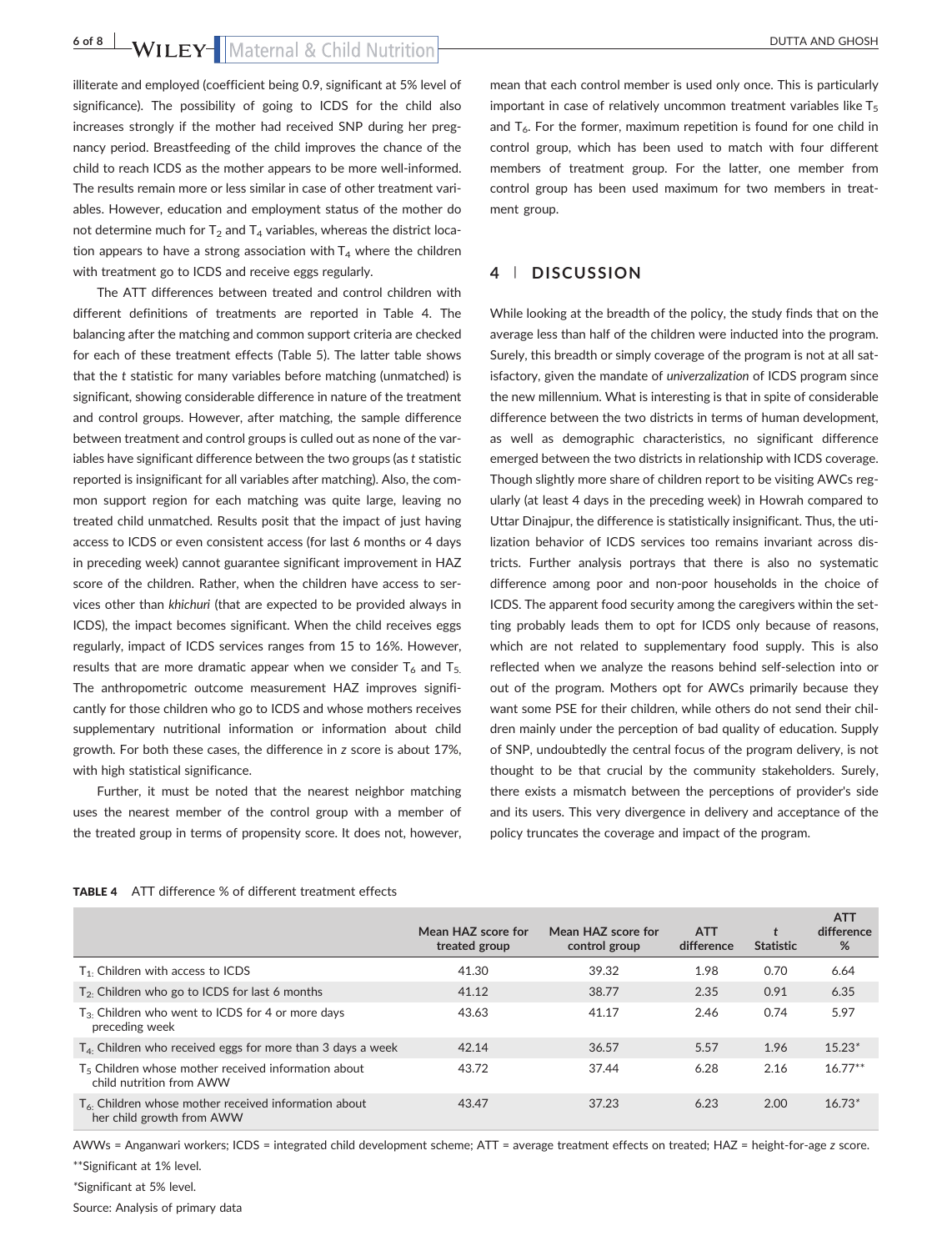6 of 8 **WILEY** Maternal & Child Nutrition

illiterate and employed (coefficient being 0.9, significant at 5% level of significance). The possibility of going to ICDS for the child also increases strongly if the mother had received SNP during her pregnancy period. Breastfeeding of the child improves the chance of the child to reach ICDS as the mother appears to be more well‐informed. The results remain more or less similar in case of other treatment variables. However, education and employment status of the mother do not determine much for  $T_2$  and  $T_4$  variables, whereas the district location appears to have a strong association with  $T_4$  where the children with treatment go to ICDS and receive eggs regularly.

The ATT differences between treated and control children with different definitions of treatments are reported in Table 4. The balancing after the matching and common support criteria are checked for each of these treatment effects (Table 5). The latter table shows that the t statistic for many variables before matching (unmatched) is significant, showing considerable difference in nature of the treatment and control groups. However, after matching, the sample difference between treatment and control groups is culled out as none of the variables have significant difference between the two groups (as t statistic reported is insignificant for all variables after matching). Also, the common support region for each matching was quite large, leaving no treated child unmatched. Results posit that the impact of just having access to ICDS or even consistent access (for last 6 months or 4 days in preceding week) cannot guarantee significant improvement in HAZ score of the children. Rather, when the children have access to services other than khichuri (that are expected to be provided always in ICDS), the impact becomes significant. When the child receives eggs regularly, impact of ICDS services ranges from 15 to 16%. However, results that are more dramatic appear when we consider  $T_6$  and  $T_5$ . The anthropometric outcome measurement HAZ improves significantly for those children who go to ICDS and whose mothers receives supplementary nutritional information or information about child growth. For both these cases, the difference in z score is about 17%, with high statistical significance.

Further, it must be noted that the nearest neighbor matching uses the nearest member of the control group with a member of the treated group in terms of propensity score. It does not, however, mean that each control member is used only once. This is particularly important in case of relatively uncommon treatment variables like  $T<sub>5</sub>$ and  $T<sub>6</sub>$ . For the former, maximum repetition is found for one child in control group, which has been used to match with four different members of treatment group. For the latter, one member from control group has been used maximum for two members in treatment group.

## 4 | DISCUSSION

While looking at the breadth of the policy, the study finds that on the average less than half of the children were inducted into the program. Surely, this breadth or simply coverage of the program is not at all satisfactory, given the mandate of univerzalization of ICDS program since the new millennium. What is interesting is that in spite of considerable difference between the two districts in terms of human development, as well as demographic characteristics, no significant difference emerged between the two districts in relationship with ICDS coverage. Though slightly more share of children report to be visiting AWCs regularly (at least 4 days in the preceding week) in Howrah compared to Uttar Dinajpur, the difference is statistically insignificant. Thus, the utilization behavior of ICDS services too remains invariant across districts. Further analysis portrays that there is also no systematic difference among poor and non‐poor households in the choice of ICDS. The apparent food security among the caregivers within the setting probably leads them to opt for ICDS only because of reasons, which are not related to supplementary food supply. This is also reflected when we analyze the reasons behind self‐selection into or out of the program. Mothers opt for AWCs primarily because they want some PSE for their children, while others do not send their children mainly under the perception of bad quality of education. Supply of SNP, undoubtedly the central focus of the program delivery, is not thought to be that crucial by the community stakeholders. Surely, there exists a mismatch between the perceptions of provider's side and its users. This very divergence in delivery and acceptance of the policy truncates the coverage and impact of the program.

| <b>TABLE 4</b> ATT difference % of different treatment effects |  |  |  |
|----------------------------------------------------------------|--|--|--|
|                                                                |  |  |  |

|                                                                                             | Mean HAZ score for<br>treated group | Mean HAZ score for<br>control group | <b>ATT</b><br>difference | <b>Statistic</b> | <b>ATT</b><br>difference<br>% |
|---------------------------------------------------------------------------------------------|-------------------------------------|-------------------------------------|--------------------------|------------------|-------------------------------|
| $T_1$ . Children with access to ICDS                                                        | 41.30                               | 39.32                               | 1.98                     | 0.70             | 6.64                          |
| $T_2$ . Children who go to ICDS for last 6 months                                           | 41.12                               | 38.77                               | 2.35                     | 0.91             | 6.35                          |
| $T_3$ . Children who went to ICDS for 4 or more days<br>preceding week                      | 43.63                               | 41.17                               | 2.46                     | 0.74             | 5.97                          |
| $T_{4}$ . Children who received eggs for more than 3 days a week                            | 42.14                               | 36.57                               | 5.57                     | 1.96             | $15.23*$                      |
| T <sub>5</sub> Children whose mother received information about<br>child nutrition from AWW | 43.72                               | 37.44                               | 6.28                     | 2.16             | $16.77**$                     |
| $T_{6}$ . Children whose mother received information about<br>her child growth from AWW     | 43.47                               | 37.23                               | 6.23                     | 2.00             | $16.73*$                      |

AWWs = Anganwari workers; ICDS = integrated child development scheme; ATT = average treatment effects on treated; HAZ = height‐for‐age z score. \*\*Significant at 1% level.

\*Significant at 5% level.

Source: Analysis of primary data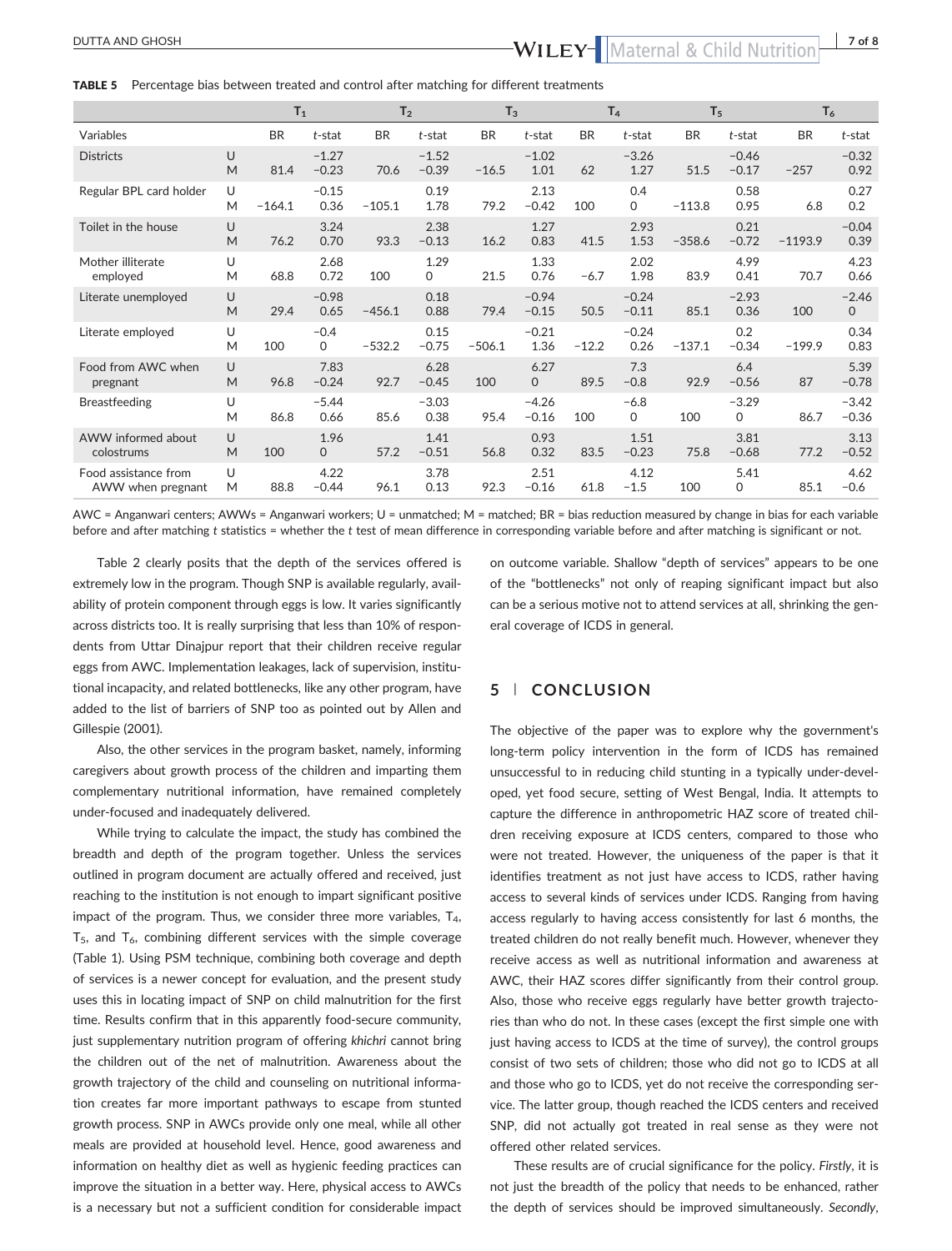## DUTTA AND GHOSH DUTTA AND GHOSH

TABLE 5 Percentage bias between treated and control after matching for different treatments

|                                           |        | $T_1$     |                       | T <sub>2</sub> |                    | $T_3$     |                    |           | T <sub>4</sub>     | T <sub>5</sub> |                    | $T_6$     |                         |
|-------------------------------------------|--------|-----------|-----------------------|----------------|--------------------|-----------|--------------------|-----------|--------------------|----------------|--------------------|-----------|-------------------------|
| Variables                                 |        | <b>BR</b> | $t$ -stat             | <b>BR</b>      | $t$ -stat          | <b>BR</b> | $t$ -stat          | <b>BR</b> | $t$ -stat          | <b>BR</b>      | $t$ -stat          | <b>BR</b> | t-stat                  |
| <b>Districts</b>                          | U<br>M | 81.4      | $-1.27$<br>$-0.23$    | 70.6           | $-1.52$<br>$-0.39$ | $-16.5$   | $-1.02$<br>1.01    | 62        | $-3.26$<br>1.27    | 51.5           | $-0.46$<br>$-0.17$ | $-257$    | $-0.32$<br>0.92         |
| Regular BPL card holder                   | U<br>M | $-164.1$  | $-0.15$<br>0.36       | $-105.1$       | 0.19<br>1.78       | 79.2      | 2.13<br>$-0.42$    | 100       | 0.4<br>0           | $-113.8$       | 0.58<br>0.95       | 6.8       | 0.27<br>0.2             |
| Toilet in the house                       | U<br>M | 76.2      | 3.24<br>0.70          | 93.3           | 2.38<br>$-0.13$    | 16.2      | 1.27<br>0.83       | 41.5      | 2.93<br>1.53       | $-358.6$       | 0.21<br>$-0.72$    | $-1193.9$ | $-0.04$<br>0.39         |
| Mother illiterate<br>employed             | U<br>M | 68.8      | 2.68<br>0.72          | 100            | 1.29<br>0          | 21.5      | 1.33<br>0.76       | $-6.7$    | 2.02<br>1.98       | 83.9           | 4.99<br>0.41       | 70.7      | 4.23<br>0.66            |
| Literate unemployed                       | U<br>M | 29.4      | $-0.98$<br>0.65       | $-456.1$       | 0.18<br>0.88       | 79.4      | $-0.94$<br>$-0.15$ | 50.5      | $-0.24$<br>$-0.11$ | 85.1           | $-2.93$<br>0.36    | 100       | $-2.46$<br>$\mathsf{O}$ |
| Literate employed                         | U<br>M | 100       | $-0.4$<br>$\mathbf 0$ | $-532.2$       | 0.15<br>$-0.75$    | $-506.1$  | $-0.21$<br>1.36    | $-12.2$   | $-0.24$<br>0.26    | $-137.1$       | 0.2<br>$-0.34$     | $-199.9$  | 0.34<br>0.83            |
| Food from AWC when<br>pregnant            | U<br>M | 96.8      | 7.83<br>$-0.24$       | 92.7           | 6.28<br>$-0.45$    | 100       | 6.27<br>$\Omega$   | 89.5      | 7.3<br>$-0.8$      | 92.9           | 6.4<br>$-0.56$     | 87        | 5.39<br>$-0.78$         |
| <b>Breastfeeding</b>                      | U<br>M | 86.8      | $-5.44$<br>0.66       | 85.6           | $-3.03$<br>0.38    | 95.4      | $-4.26$<br>$-0.16$ | 100       | $-6.8$<br>0        | 100            | $-3.29$<br>0       | 86.7      | $-3.42$<br>$-0.36$      |
| AWW informed about<br>colostrums          | U<br>M | 100       | 1.96<br>$\mathbf{0}$  | 57.2           | 1.41<br>$-0.51$    | 56.8      | 0.93<br>0.32       | 83.5      | 1.51<br>$-0.23$    | 75.8           | 3.81<br>$-0.68$    | 77.2      | 3.13<br>$-0.52$         |
| Food assistance from<br>AWW when pregnant | U<br>M | 88.8      | 4.22<br>$-0.44$       | 96.1           | 3.78<br>0.13       | 92.3      | 2.51<br>$-0.16$    | 61.8      | 4.12<br>$-1.5$     | 100            | 5.41<br>0          | 85.1      | 4.62<br>$-0.6$          |

AWC = Anganwari centers; AWWs = Anganwari workers; U = unmatched; M = matched; BR = bias reduction measured by change in bias for each variable before and after matching t statistics = whether the t test of mean difference in corresponding variable before and after matching is significant or not.

Table 2 clearly posits that the depth of the services offered is extremely low in the program. Though SNP is available regularly, availability of protein component through eggs is low. It varies significantly across districts too. It is really surprising that less than 10% of respondents from Uttar Dinajpur report that their children receive regular eggs from AWC. Implementation leakages, lack of supervision, institutional incapacity, and related bottlenecks, like any other program, have added to the list of barriers of SNP too as pointed out by Allen and Gillespie (2001).

Also, the other services in the program basket, namely, informing caregivers about growth process of the children and imparting them complementary nutritional information, have remained completely under‐focused and inadequately delivered.

While trying to calculate the impact, the study has combined the breadth and depth of the program together. Unless the services outlined in program document are actually offered and received, just reaching to the institution is not enough to impart significant positive impact of the program. Thus, we consider three more variables,  $T_4$ ,  $T_5$ , and  $T_6$ , combining different services with the simple coverage (Table 1). Using PSM technique, combining both coverage and depth of services is a newer concept for evaluation, and the present study uses this in locating impact of SNP on child malnutrition for the first time. Results confirm that in this apparently food‐secure community, just supplementary nutrition program of offering khichri cannot bring the children out of the net of malnutrition. Awareness about the growth trajectory of the child and counseling on nutritional information creates far more important pathways to escape from stunted growth process. SNP in AWCs provide only one meal, while all other meals are provided at household level. Hence, good awareness and information on healthy diet as well as hygienic feeding practices can improve the situation in a better way. Here, physical access to AWCs is a necessary but not a sufficient condition for considerable impact on outcome variable. Shallow "depth of services" appears to be one of the "bottlenecks" not only of reaping significant impact but also can be a serious motive not to attend services at all, shrinking the general coverage of ICDS in general.

### 5 | CONCLUSION

The objective of the paper was to explore why the government's long‐term policy intervention in the form of ICDS has remained unsuccessful to in reducing child stunting in a typically under‐developed, yet food secure, setting of West Bengal, India. It attempts to capture the difference in anthropometric HAZ score of treated children receiving exposure at ICDS centers, compared to those who were not treated. However, the uniqueness of the paper is that it identifies treatment as not just have access to ICDS, rather having access to several kinds of services under ICDS. Ranging from having access regularly to having access consistently for last 6 months, the treated children do not really benefit much. However, whenever they receive access as well as nutritional information and awareness at AWC, their HAZ scores differ significantly from their control group. Also, those who receive eggs regularly have better growth trajectories than who do not. In these cases (except the first simple one with just having access to ICDS at the time of survey), the control groups consist of two sets of children; those who did not go to ICDS at all and those who go to ICDS, yet do not receive the corresponding service. The latter group, though reached the ICDS centers and received SNP, did not actually got treated in real sense as they were not offered other related services.

These results are of crucial significance for the policy. Firstly, it is not just the breadth of the policy that needs to be enhanced, rather the depth of services should be improved simultaneously. Secondly,